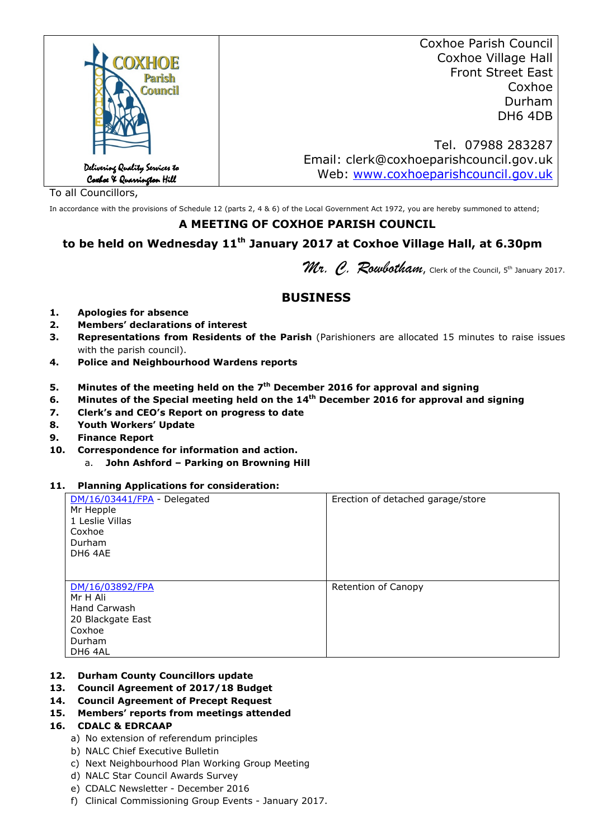|                                                             | <b>Coxhoe Parish Council</b>            |
|-------------------------------------------------------------|-----------------------------------------|
| <b>OXHOE</b>                                                | Coxhoe Village Hall                     |
| Parish                                                      | <b>Front Street East</b>                |
| <b>Council</b>                                              | Coxhoe                                  |
|                                                             | Durham                                  |
|                                                             | DH6 4DB                                 |
|                                                             |                                         |
|                                                             | Tel. 07988 283287                       |
|                                                             | Email: clerk@coxhoeparishcouncil.gov.uk |
| Delivering Quality Services to<br>Coxboe X Quarrington Hill | Web: www.coxhoeparishcouncil.gov.uk     |
|                                                             |                                         |

To all Councillors,

In accordance with the provisions of Schedule 12 (parts 2, 4 & 6) of the Local Government Act 1972, you are hereby summoned to attend;

## **A MEETING OF COXHOE PARISH COUNCIL**

# **to be held on Wednesday 11th January 2017 at Coxhoe Village Hall, at 6.30pm**

Mr. C. Roubotham, Clerk of the Council, 5th January 2017.

## **BUSINESS**

- **1. Apologies for absence**
- **2. Members' declarations of interest**
- **3. Representations from Residents of the Parish** (Parishioners are allocated 15 minutes to raise issues with the parish council).
- **4. Police and Neighbourhood Wardens reports**
- **5. Minutes of the meeting held on the 7th December 2016 for approval and signing**
- **6. Minutes of the Special meeting held on the 14th December 2016 for approval and signing**
- **7. Clerk's and CEO's Report on progress to date**
- **8. Youth Workers' Update**
- **9. Finance Report**
- **10. Correspondence for information and action.**
	- a. **John Ashford Parking on Browning Hill**

#### **11. Planning Applications for consideration:**

| DM/16/03441/FPA - Delegated<br>Mr Hepple<br>1 Leslie Villas<br>Coxhoe<br>Durham<br>DH6 4AE             | Erection of detached garage/store |
|--------------------------------------------------------------------------------------------------------|-----------------------------------|
| DM/16/03892/FPA<br>Mr H Ali<br><b>Hand Carwash</b><br>20 Blackgate East<br>Coxhoe<br>Durham<br>DH6 4AL | Retention of Canopy               |

#### **12. Durham County Councillors update**

- **13. Council Agreement of 2017/18 Budget**
- **14. Council Agreement of Precept Request**
- **15. Members' reports from meetings attended**

#### **16. CDALC & EDRCAAP**

- a) No extension of referendum principles
- b) NALC Chief Executive Bulletin
- c) Next Neighbourhood Plan Working Group Meeting
- d) NALC Star Council Awards Survey
- e) CDALC Newsletter December 2016
- f) Clinical Commissioning Group Events January 2017.